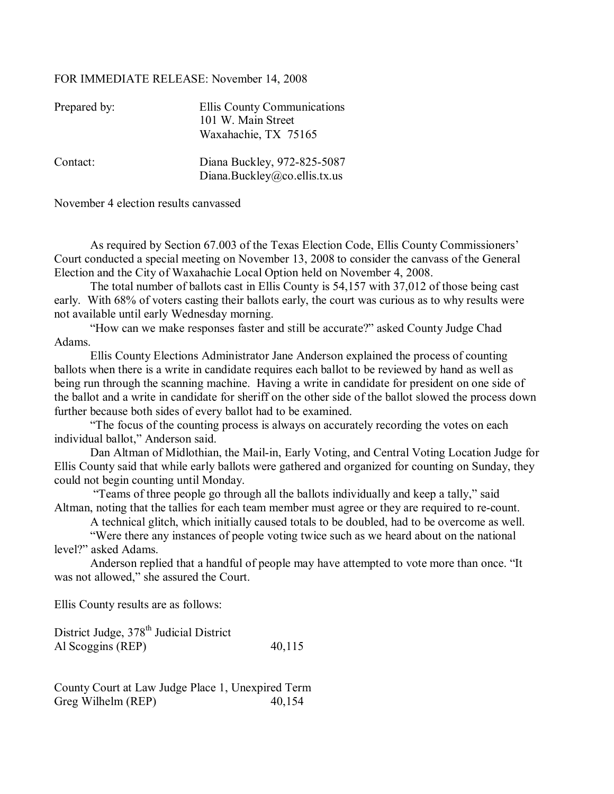## FOR IMMEDIATE RELEASE: November 14, 2008

| Prepared by: | Ellis County Communications<br>101 W. Main Street<br>Waxahachie, TX 75165 |
|--------------|---------------------------------------------------------------------------|
| Contact:     | Diana Buckley, 972-825-5087<br>Diana.Buckley@co.ellis.tx.us               |

November 4 election results canvassed

As required by Section 67.003 of the Texas Election Code, Ellis County Commissioners' Court conducted a special meeting on November 13, 2008 to consider the canvass of the General Election and the City of Waxahachie Local Option held on November 4, 2008.

The total number of ballots cast in Ellis County is 54,157 with 37,012 of those being cast early. With 68% of voters casting their ballots early, the court was curious as to why results were not available until early Wednesday morning.

ìHow can we make responses faster and still be accurate?î asked County Judge Chad Adams.

Ellis County Elections Administrator Jane Anderson explained the process of counting ballots when there is a write in candidate requires each ballot to be reviewed by hand as well as being run through the scanning machine. Having a write in candidate for president on one side of the ballot and a write in candidate for sheriff on the other side of the ballot slowed the process down further because both sides of every ballot had to be examined.

"The focus of the counting process is always on accurately recording the votes on each individual ballot," Anderson said.

Dan Altman of Midlothian, the Mail-in, Early Voting, and Central Voting Location Judge for Ellis County said that while early ballots were gathered and organized for counting on Sunday, they could not begin counting until Monday.

"Teams of three people go through all the ballots individually and keep a tally," said Altman, noting that the tallies for each team member must agree or they are required to re-count.

A technical glitch, which initially caused totals to be doubled, had to be overcome as well.

 ìWere there any instances of people voting twice such as we heard about on the national level?" asked Adams.

Anderson replied that a handful of people may have attempted to vote more than once. "It was not allowed," she assured the Court.

Ellis County results are as follows:

District Judge, 378<sup>th</sup> Judicial District Al Scoggins (REP) 40,115

County Court at Law Judge Place 1, Unexpired Term Greg Wilhelm (REP) 40,154